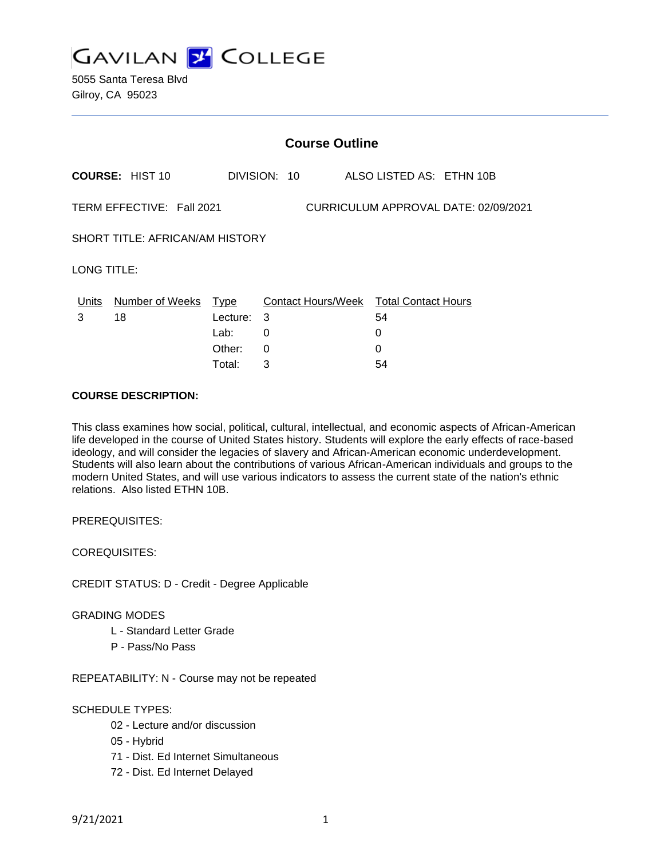

5055 Santa Teresa Blvd Gilroy, CA 95023

|                                                                   |                        |          | <b>Course Outline</b> |                                        |
|-------------------------------------------------------------------|------------------------|----------|-----------------------|----------------------------------------|
|                                                                   | <b>COURSE: HIST 10</b> |          | DIVISION: 10          | ALSO LISTED AS: ETHN 10B               |
| TERM EFFECTIVE: Fall 2021<br>CURRICULUM APPROVAL DATE: 02/09/2021 |                        |          |                       |                                        |
| SHORT TITLE: AFRICAN/AM HISTORY                                   |                        |          |                       |                                        |
| LONG TITLE:                                                       |                        |          |                       |                                        |
| Units                                                             | Number of Weeks        | Type     |                       | Contact Hours/Week Total Contact Hours |
| 3                                                                 | 18                     | Lecture: | 3                     | 54                                     |
|                                                                   |                        | Lab:     | 0                     | 0                                      |
|                                                                   |                        | Other:   | 0                     | 0                                      |
|                                                                   |                        | Total:   | 3                     | 54                                     |

## **COURSE DESCRIPTION:**

This class examines how social, political, cultural, intellectual, and economic aspects of African-American life developed in the course of United States history. Students will explore the early effects of race-based ideology, and will consider the legacies of slavery and African-American economic underdevelopment. Students will also learn about the contributions of various African-American individuals and groups to the modern United States, and will use various indicators to assess the current state of the nation's ethnic relations. Also listed ETHN 10B.

PREREQUISITES:

COREQUISITES:

CREDIT STATUS: D - Credit - Degree Applicable

#### GRADING MODES

- L Standard Letter Grade
- P Pass/No Pass

REPEATABILITY: N - Course may not be repeated

#### SCHEDULE TYPES:

- 02 Lecture and/or discussion
- 05 Hybrid
- 71 Dist. Ed Internet Simultaneous
- 72 Dist. Ed Internet Delayed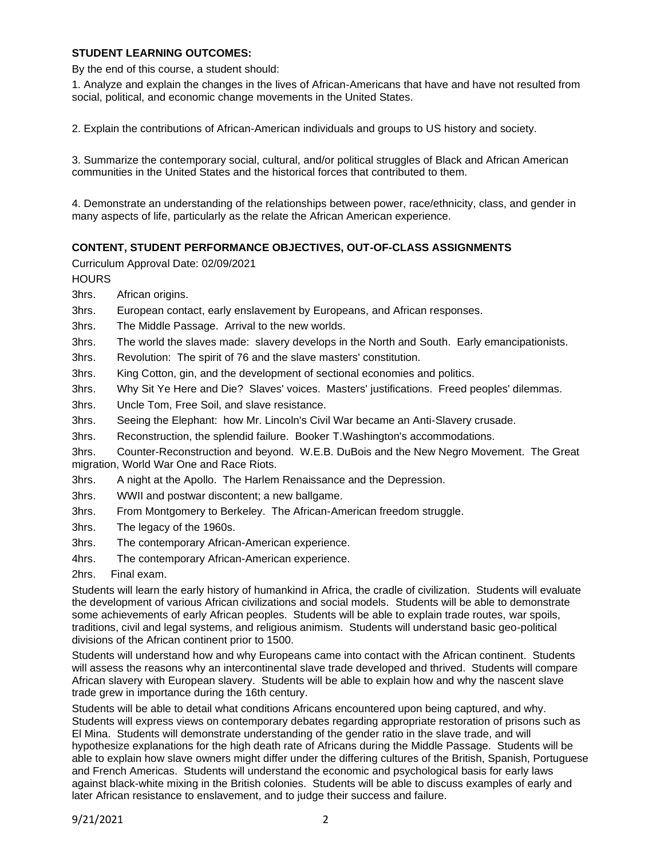#### **STUDENT LEARNING OUTCOMES:**

By the end of this course, a student should:

1. Analyze and explain the changes in the lives of African-Americans that have and have not resulted from social, political, and economic change movements in the United States.

2. Explain the contributions of African-American individuals and groups to US history and society.

3. Summarize the contemporary social, cultural, and/or political struggles of Black and African American communities in the United States and the historical forces that contributed to them.

4. Demonstrate an understanding of the relationships between power, race/ethnicity, class, and gender in many aspects of life, particularly as the relate the African American experience.

# **CONTENT, STUDENT PERFORMANCE OBJECTIVES, OUT-OF-CLASS ASSIGNMENTS**

Curriculum Approval Date: 02/09/2021

**HOURS** 

3hrs. African origins.

3hrs. European contact, early enslavement by Europeans, and African responses.

3hrs. The Middle Passage. Arrival to the new worlds.

3hrs. The world the slaves made: slavery develops in the North and South. Early emancipationists.

3hrs. Revolution: The spirit of 76 and the slave masters' constitution.

3hrs. King Cotton, gin, and the development of sectional economies and politics.

3hrs. Why Sit Ye Here and Die? Slaves' voices. Masters' justifications. Freed peoples' dilemmas.

3hrs. Uncle Tom, Free Soil, and slave resistance.

3hrs. Seeing the Elephant: how Mr. Lincoln's Civil War became an Anti-Slavery crusade.

3hrs. Reconstruction, the splendid failure. Booker T.Washington's accommodations.

3hrs. Counter-Reconstruction and beyond. W.E.B. DuBois and the New Negro Movement. The Great migration, World War One and Race Riots.

3hrs. A night at the Apollo. The Harlem Renaissance and the Depression.

3hrs. WWII and postwar discontent; a new ballgame.

- 3hrs. From Montgomery to Berkeley. The African-American freedom struggle.
- 3hrs. The legacy of the 1960s.
- 3hrs. The contemporary African-American experience.
- 4hrs. The contemporary African-American experience.
- 2hrs. Final exam.

Students will learn the early history of humankind in Africa, the cradle of civilization. Students will evaluate the development of various African civilizations and social models. Students will be able to demonstrate some achievements of early African peoples. Students will be able to explain trade routes, war spoils, traditions, civil and legal systems, and religious animism. Students will understand basic geo-political divisions of the African continent prior to 1500.

Students will understand how and why Europeans came into contact with the African continent. Students will assess the reasons why an intercontinental slave trade developed and thrived. Students will compare African slavery with European slavery. Students will be able to explain how and why the nascent slave trade grew in importance during the 16th century.

Students will be able to detail what conditions Africans encountered upon being captured, and why. Students will express views on contemporary debates regarding appropriate restoration of prisons such as El Mina. Students will demonstrate understanding of the gender ratio in the slave trade, and will hypothesize explanations for the high death rate of Africans during the Middle Passage. Students will be able to explain how slave owners might differ under the differing cultures of the British, Spanish, Portuguese and French Americas. Students will understand the economic and psychological basis for early laws against black-white mixing in the British colonies. Students will be able to discuss examples of early and later African resistance to enslavement, and to judge their success and failure.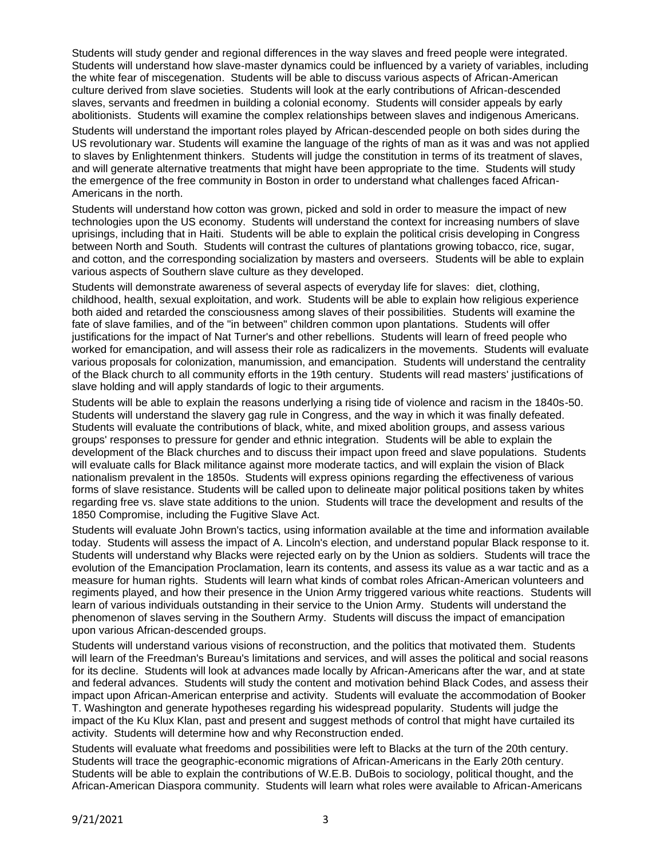Students will study gender and regional differences in the way slaves and freed people were integrated. Students will understand how slave-master dynamics could be influenced by a variety of variables, including the white fear of miscegenation. Students will be able to discuss various aspects of African-American culture derived from slave societies. Students will look at the early contributions of African-descended slaves, servants and freedmen in building a colonial economy. Students will consider appeals by early abolitionists. Students will examine the complex relationships between slaves and indigenous Americans.

Students will understand the important roles played by African-descended people on both sides during the US revolutionary war. Students will examine the language of the rights of man as it was and was not applied to slaves by Enlightenment thinkers. Students will judge the constitution in terms of its treatment of slaves, and will generate alternative treatments that might have been appropriate to the time. Students will study the emergence of the free community in Boston in order to understand what challenges faced African-Americans in the north.

Students will understand how cotton was grown, picked and sold in order to measure the impact of new technologies upon the US economy. Students will understand the context for increasing numbers of slave uprisings, including that in Haiti. Students will be able to explain the political crisis developing in Congress between North and South. Students will contrast the cultures of plantations growing tobacco, rice, sugar, and cotton, and the corresponding socialization by masters and overseers. Students will be able to explain various aspects of Southern slave culture as they developed.

Students will demonstrate awareness of several aspects of everyday life for slaves: diet, clothing, childhood, health, sexual exploitation, and work. Students will be able to explain how religious experience both aided and retarded the consciousness among slaves of their possibilities. Students will examine the fate of slave families, and of the "in between" children common upon plantations. Students will offer justifications for the impact of Nat Turner's and other rebellions. Students will learn of freed people who worked for emancipation, and will assess their role as radicalizers in the movements. Students will evaluate various proposals for colonization, manumission, and emancipation. Students will understand the centrality of the Black church to all community efforts in the 19th century. Students will read masters' justifications of slave holding and will apply standards of logic to their arguments.

Students will be able to explain the reasons underlying a rising tide of violence and racism in the 1840s-50. Students will understand the slavery gag rule in Congress, and the way in which it was finally defeated. Students will evaluate the contributions of black, white, and mixed abolition groups, and assess various groups' responses to pressure for gender and ethnic integration. Students will be able to explain the development of the Black churches and to discuss their impact upon freed and slave populations. Students will evaluate calls for Black militance against more moderate tactics, and will explain the vision of Black nationalism prevalent in the 1850s. Students will express opinions regarding the effectiveness of various forms of slave resistance. Students will be called upon to delineate major political positions taken by whites regarding free vs. slave state additions to the union. Students will trace the development and results of the 1850 Compromise, including the Fugitive Slave Act.

Students will evaluate John Brown's tactics, using information available at the time and information available today. Students will assess the impact of A. Lincoln's election, and understand popular Black response to it. Students will understand why Blacks were rejected early on by the Union as soldiers. Students will trace the evolution of the Emancipation Proclamation, learn its contents, and assess its value as a war tactic and as a measure for human rights. Students will learn what kinds of combat roles African-American volunteers and regiments played, and how their presence in the Union Army triggered various white reactions. Students will learn of various individuals outstanding in their service to the Union Army. Students will understand the phenomenon of slaves serving in the Southern Army. Students will discuss the impact of emancipation upon various African-descended groups.

Students will understand various visions of reconstruction, and the politics that motivated them. Students will learn of the Freedman's Bureau's limitations and services, and will asses the political and social reasons for its decline. Students will look at advances made locally by African-Americans after the war, and at state and federal advances. Students will study the content and motivation behind Black Codes, and assess their impact upon African-American enterprise and activity. Students will evaluate the accommodation of Booker T. Washington and generate hypotheses regarding his widespread popularity. Students will judge the impact of the Ku Klux Klan, past and present and suggest methods of control that might have curtailed its activity. Students will determine how and why Reconstruction ended.

Students will evaluate what freedoms and possibilities were left to Blacks at the turn of the 20th century. Students will trace the geographic-economic migrations of African-Americans in the Early 20th century. Students will be able to explain the contributions of W.E.B. DuBois to sociology, political thought, and the African-American Diaspora community. Students will learn what roles were available to African-Americans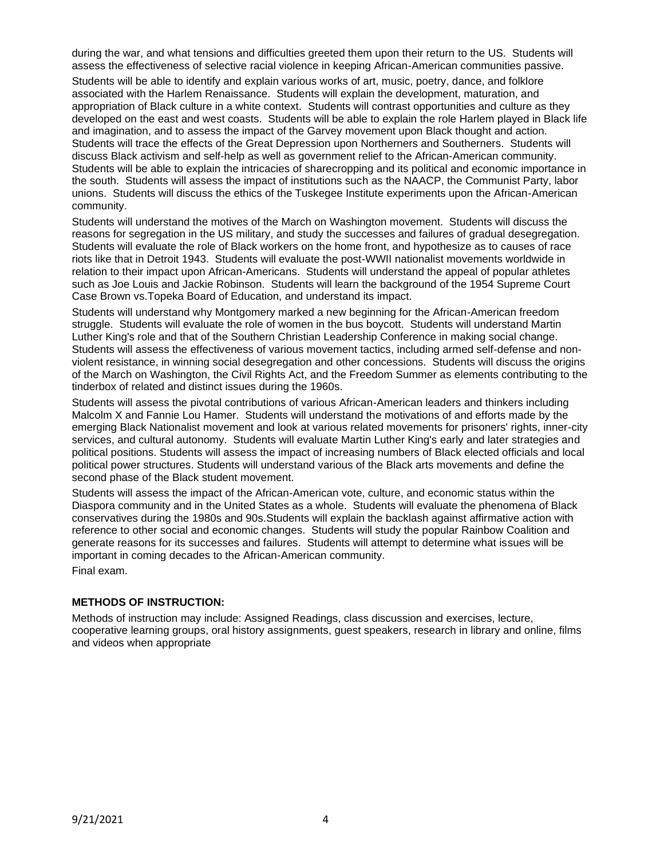during the war, and what tensions and difficulties greeted them upon their return to the US. Students will assess the effectiveness of selective racial violence in keeping African-American communities passive.

Students will be able to identify and explain various works of art, music, poetry, dance, and folklore associated with the Harlem Renaissance. Students will explain the development, maturation, and appropriation of Black culture in a white context. Students will contrast opportunities and culture as they developed on the east and west coasts. Students will be able to explain the role Harlem played in Black life and imagination, and to assess the impact of the Garvey movement upon Black thought and action. Students will trace the effects of the Great Depression upon Northerners and Southerners. Students will discuss Black activism and self-help as well as government relief to the African-American community. Students will be able to explain the intricacies of sharecropping and its political and economic importance in the south. Students will assess the impact of institutions such as the NAACP, the Communist Party, labor unions. Students will discuss the ethics of the Tuskegee Institute experiments upon the African-American community.

Students will understand the motives of the March on Washington movement. Students will discuss the reasons for segregation in the US military, and study the successes and failures of gradual desegregation. Students will evaluate the role of Black workers on the home front, and hypothesize as to causes of race riots like that in Detroit 1943. Students will evaluate the post-WWII nationalist movements worldwide in relation to their impact upon African-Americans. Students will understand the appeal of popular athletes such as Joe Louis and Jackie Robinson. Students will learn the background of the 1954 Supreme Court Case Brown vs.Topeka Board of Education, and understand its impact.

Students will understand why Montgomery marked a new beginning for the African-American freedom struggle. Students will evaluate the role of women in the bus boycott. Students will understand Martin Luther King's role and that of the Southern Christian Leadership Conference in making social change. Students will assess the effectiveness of various movement tactics, including armed self-defense and nonviolent resistance, in winning social desegregation and other concessions. Students will discuss the origins of the March on Washington, the Civil Rights Act, and the Freedom Summer as elements contributing to the tinderbox of related and distinct issues during the 1960s.

Students will assess the pivotal contributions of various African-American leaders and thinkers including Malcolm X and Fannie Lou Hamer. Students will understand the motivations of and efforts made by the emerging Black Nationalist movement and look at various related movements for prisoners' rights, inner-city services, and cultural autonomy. Students will evaluate Martin Luther King's early and later strategies and political positions. Students will assess the impact of increasing numbers of Black elected officials and local political power structures. Students will understand various of the Black arts movements and define the second phase of the Black student movement.

Students will assess the impact of the African-American vote, culture, and economic status within the Diaspora community and in the United States as a whole. Students will evaluate the phenomena of Black conservatives during the 1980s and 90s.Students will explain the backlash against affirmative action with reference to other social and economic changes. Students will study the popular Rainbow Coalition and generate reasons for its successes and failures. Students will attempt to determine what issues will be important in coming decades to the African-American community.

Final exam.

## **METHODS OF INSTRUCTION:**

Methods of instruction may include: Assigned Readings, class discussion and exercises, lecture, cooperative learning groups, oral history assignments, guest speakers, research in library and online, films and videos when appropriate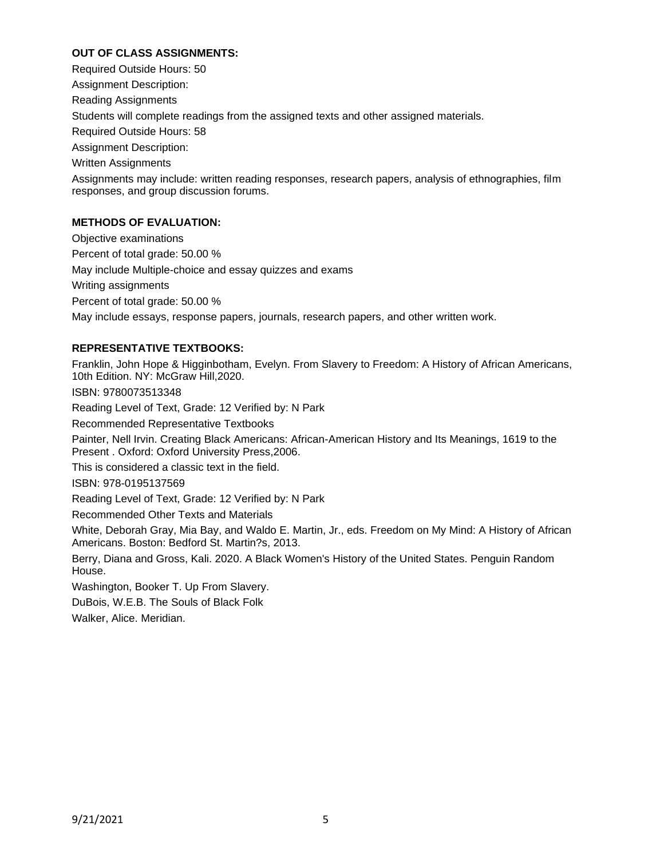# **OUT OF CLASS ASSIGNMENTS:**

Required Outside Hours: 50

Assignment Description:

Reading Assignments

Students will complete readings from the assigned texts and other assigned materials.

Required Outside Hours: 58

Assignment Description:

Written Assignments

Assignments may include: written reading responses, research papers, analysis of ethnographies, film responses, and group discussion forums.

# **METHODS OF EVALUATION:**

Objective examinations Percent of total grade: 50.00 % May include Multiple-choice and essay quizzes and exams Writing assignments Percent of total grade: 50.00 % May include essays, response papers, journals, research papers, and other written work.

# **REPRESENTATIVE TEXTBOOKS:**

Franklin, John Hope & Higginbotham, Evelyn. From Slavery to Freedom: A History of African Americans, 10th Edition. NY: McGraw Hill,2020. ISBN: 9780073513348

Reading Level of Text, Grade: 12 Verified by: N Park

Recommended Representative Textbooks

Painter, Nell Irvin. Creating Black Americans: African-American History and Its Meanings, 1619 to the Present . Oxford: Oxford University Press,2006.

This is considered a classic text in the field.

ISBN: 978-0195137569

Reading Level of Text, Grade: 12 Verified by: N Park

Recommended Other Texts and Materials

White, Deborah Gray, Mia Bay, and Waldo E. Martin, Jr., eds. Freedom on My Mind: A History of African Americans. Boston: Bedford St. Martin?s, 2013.

Berry, Diana and Gross, Kali. 2020. A Black Women's History of the United States. Penguin Random House.

Washington, Booker T. Up From Slavery.

DuBois, W.E.B. The Souls of Black Folk

Walker, Alice. Meridian.